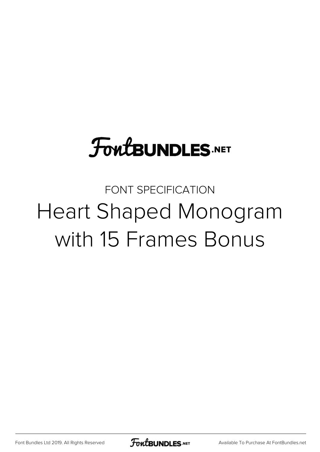# **FoutBUNDLES.NET**

# FONT SPECIFICATION Heart Shaped Monogram with 15 Frames Bonus

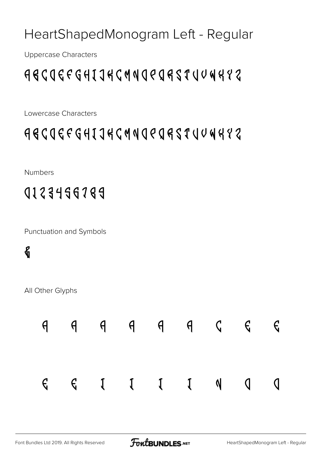#### HeartShapedMonogram Left - Regular

Uppercase Characters

### ABCDEFGHIJKLMNOPQRSTUVWXYZ

Lowercase Characters

### abcdefghijklmnopqrstuvwxyz

Numbers

0123456789

Punctuation and Symbols

### &

All Other Glyphs

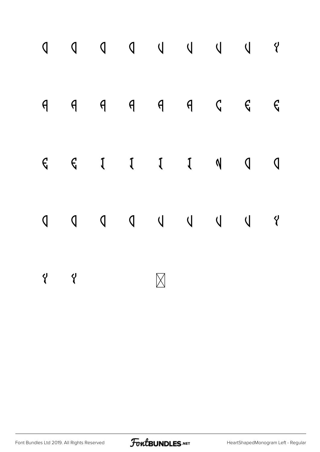|          |          |  | $\begin{array}{ccccccccccccccccc} \mathsf{q} & \mathsf{q} & \mathsf{q} & \mathsf{q} & \mathsf{q} & \mathsf{q} & \mathsf{q} & \mathsf{c} & \mathsf{c} & \mathsf{c} \end{array}$ |  |  |
|----------|----------|--|--------------------------------------------------------------------------------------------------------------------------------------------------------------------------------|--|--|
|          |          |  | $G \quad G \quad I \quad I \quad I \quad N \quad Q \quad Q$                                                                                                                    |  |  |
|          |          |  |                                                                                                                                                                                |  |  |
| $\gamma$ | $\gamma$ |  |                                                                                                                                                                                |  |  |

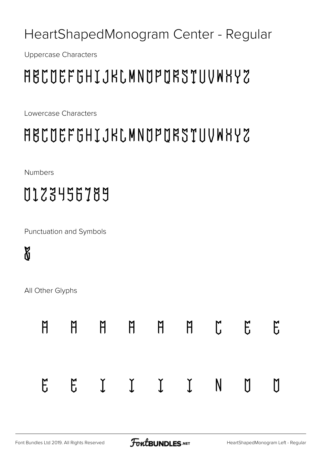#### HeartShapedMonogram Center - Regular

Uppercase Characters

# ABCDEFGHIJKLMNOPQRSTUVWXYZ

Lowercase Characters

# abcdefghijklmnopqrstuvwxyz

Numbers

# 0123456789

Punctuation and Symbols

### &

All Other Glyphs

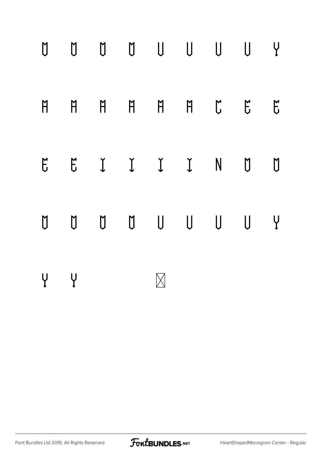

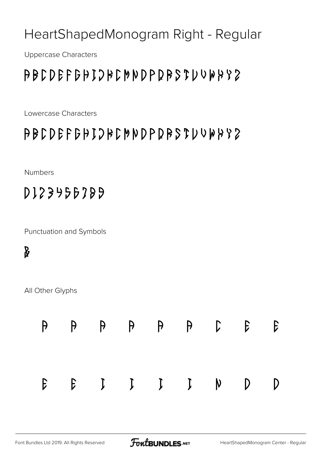#### HeartShapedMonogram Right - Regular

Uppercase Characters

### ABCDEFGHIJKLMNOPQRSTUVWXYZ

Lowercase Characters

#### abcdefghijklmnopqrstuvwxyz

Numbers

0123456789

Punctuation and Symbols

#### &

All Other Glyphs